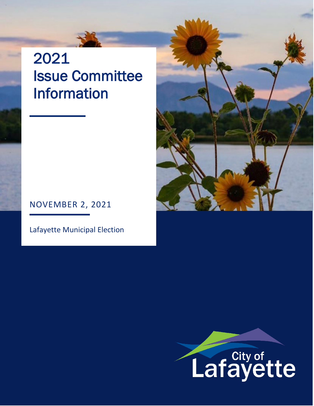# 2021 Issue Committee Information

# NOVEMBER 2, 2021

Lafayette Municipal Election



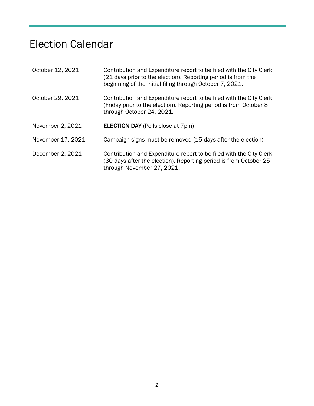# Election Calendar

| October 12, 2021  | Contribution and Expenditure report to be filed with the City Clerk<br>(21 days prior to the election). Reporting period is from the<br>beginning of the initial filing through October 7, 2021. |
|-------------------|--------------------------------------------------------------------------------------------------------------------------------------------------------------------------------------------------|
| October 29, 2021  | Contribution and Expenditure report to be filed with the City Clerk<br>(Friday prior to the election). Reporting period is from October 8<br>through October 24, 2021.                           |
| November 2, 2021  | <b>ELECTION DAY (Polls close at 7pm)</b>                                                                                                                                                         |
| November 17, 2021 | Campaign signs must be removed (15 days after the election)                                                                                                                                      |
| December 2, 2021  | Contribution and Expenditure report to be filed with the City Clerk<br>(30 days after the election). Reporting period is from October 25<br>through November 27, 2021.                           |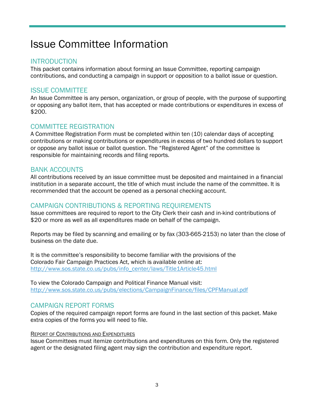# Issue Committee Information

# **INTRODUCTION**

This packet contains information about forming an Issue Committee, reporting campaign contributions, and conducting a campaign in support or opposition to a ballot issue or question.

# ISSUE COMMITTEE

An Issue Committee is any person, organization, or group of people, with the purpose of supporting or opposing any ballot item, that has accepted or made contributions or expenditures in excess of \$200.

# COMMITTEE REGISTRATION

A Committee Registration Form must be completed within ten (10) calendar days of accepting contributions or making contributions or expenditures in excess of two hundred dollars to support or oppose any ballot issue or ballot question. The "Registered Agent" of the committee is responsible for maintaining records and filing reports.

# BANK ACCOUNTS

All contributions received by an issue committee must be deposited and maintained in a financial institution in a separate account, the title of which must include the name of the committee. It is recommended that the account be opened as a personal checking account.

# CAMPAIGN CONTRIBUTIONS & REPORTING REQUIREMENTS

Issue committees are required to report to the City Clerk their cash and in-kind contributions of \$20 or more as well as all expenditures made on behalf of the campaign.

Reports may be filed by scanning and emailing or by fax (303-665-2153) no later than the close of business on the date due.

It is the committee's responsibility to become familiar with the provisions of the Colorado Fair Campaign Practices Act, which is available online at: [http://www.sos.state.co.us/pubs/info\\_center/laws/Title1Article45.html](http://www.sos.state.co.us/pubs/info_center/laws/Title1Article45.html)

To view the Colorado Campaign and Political Finance Manual visit: <http://www.sos.state.co.us/pubs/elections/CampaignFinance/files/CPFManual.pdf>

# CAMPAIGN REPORT FORMS

Copies of the required campaign report forms are found in the last section of this packet. Make extra copies of the forms you will need to file.

#### REPORT OF CONTRIBUTIONS AND EXPENDITURES

Issue Committees must itemize contributions and expenditures on this form. Only the registered agent or the designated filing agent may sign the contribution and expenditure report.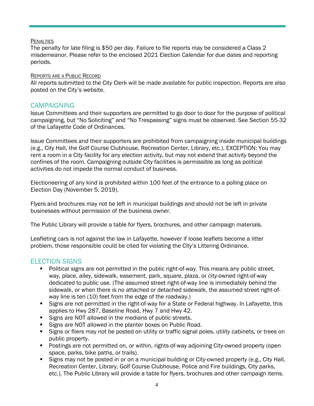#### **PENALTIES**

The penalty for late filing is \$50 per day. Failure to file reports may be considered a Class 2 misdemeanor. Please refer to the enclosed 2021 Election Calendar for due dates and reporting periods.

#### REPORTS ARE A PUBLIC RECORD

All reports submitted to the City Clerk will be made available for public inspection. Reports are also posted on the City's website.

### **CAMPAIGNING**

Issue Committees and their supporters are permitted to go door to door for the purpose of political campaigning, but "No Soliciting" and "No Trespassing" signs must be observed. See Section 55-32 of the Lafayette Code of Ordinances.

Issue Committees and their supporters are prohibited from campaigning inside municipal buildings (e.g., City Hall, the Golf Course Clubhouse, Recreation Center, Library, etc.). EXCEPTION: You may rent a room in a City facility for any election activity, but may not extend that activity beyond the confines of the room. Campaigning outside City facilities is permissible as long as political activities do not impede the normal conduct of business.

Electioneering of any kind is prohibited within 100 feet of the entrance to a polling place on Election Day (November 5, 2019).

Flyers and brochures may not be left in municipal buildings and should not be left in private businesses without permission of the business owner.

The Public Library will provide a table for flyers, brochures, and other campaign materials.

Leafleting cars is not against the law in Lafayette, however if loose leaflets become a litter problem, those responsible could be cited for violating the City's Littering Ordinance.

# ELECTION SIGNS

- **Political signs are not permitted in the public right-of-way. This means any public street,** way, place, alley, sidewalk, easement, park, square, plaza, or city-owned right-of-way dedicated to public use. (The assumed street right-of-way line is immediately behind the sidewalk, or when there is no attached or detached sidewalk, the assumed street right-ofway line is ten (10) feet from the edge of the roadway.)
- **Signs are not permitted in the right-of-way for a State or Federal highway. In Lafayette, this** applies to Hwy 287, Baseline Road, Hwy 7 and Hwy 42.
- Signs are NOT allowed in the medians of public streets.
- Signs are NOT allowed in the planter boxes on Public Road.
- Signs or fliers may not be posted on utility or traffic signal poles, utility cabinets, or trees on public property.
- **Postings are not permitted on, or within, rights-of-way adjoining City-owned property (open** space, parks, bike paths, or trails).
- Signs may not be posted in or on a municipal building or City-owned property (e.g., City Hall, Recreation Center, Library, Golf Course Clubhouse, Police and Fire buildings, City parks, etc.). The Public Library will provide a table for flyers, brochures and other campaign items.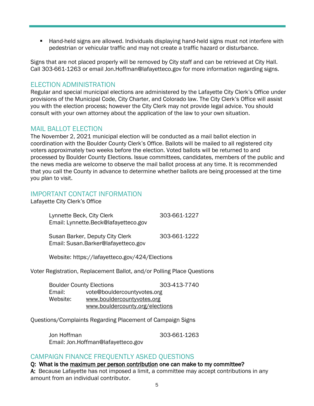Hand-held signs are allowed. Individuals displaying hand-held signs must not interfere with pedestrian or vehicular traffic and may not create a traffic hazard or disturbance.

Signs that are not placed properly will be removed by City staff and can be retrieved at City Hall. Call 303-661-1263 or email [Jon.Hoffman@lafayetteco.gov](mailto:Jon.Hoffman@lafayetteco.gov) for more information regarding signs.

# ELECTION ADMINISTRATION

Regular and special municipal elections are administered by the Lafayette City Clerk's Office under provisions of the Municipal Code, City Charter, and Colorado law. The City Clerk's Office will assist you with the election process; however the City Clerk may not provide legal advice. You should consult with your own attorney about the application of the law to your own situation.

# MAIL BALLOT ELECTION

The November 2, 2021 municipal election will be conducted as a mail ballot election in coordination with the Boulder County Clerk's Office. Ballots will be mailed to all registered city voters approximately two weeks before the election. Voted ballots will be returned to and processed by Boulder County Elections. Issue committees, candidates, members of the public and the news media are welcome to observe the mail ballot process at any time. It is recommended that you call the County in advance to determine whether ballots are being processed at the time you plan to visit.

# IMPORTANT CONTACT INFORMATION

Lafayette City Clerk's Office

| Lynnette Beck, City Clerk<br>Email: Lynnette.Beck@lafayetteco.gov      | 303-661-1227 |
|------------------------------------------------------------------------|--------------|
| Susan Barker, Deputy City Clerk<br>Email: Susan.Barker@lafayetteco.gov | 303-661-1222 |

Website: https://lafayetteco.gov/424/Elections

Voter Registration, Replacement Ballot, and/or Polling Place Questions

|          | <b>Boulder County Elections</b> | 303-413-7740 |
|----------|---------------------------------|--------------|
| Email:   | vote@bouldercountyvotes.org     |              |
| Website: | www.bouldercountyvotes.org      |              |
|          | www.bouldercounty.org/elections |              |

Questions/Complaints Regarding Placement of Campaign Signs

Jon Hoffman 303-661-1263 Email: [Jon.Hoffman@lafayetteco.gov](mailto:Jon.Hoffman@lafayetteco.gov)

# CAMPAIGN FINANCE FREQUENTLY ASKED QUESTIONS

Q: What is the maximum per person contribution one can make to my committee? A: Because Lafayette has not imposed a limit, a committee may accept contributions in any amount from an individual contributor.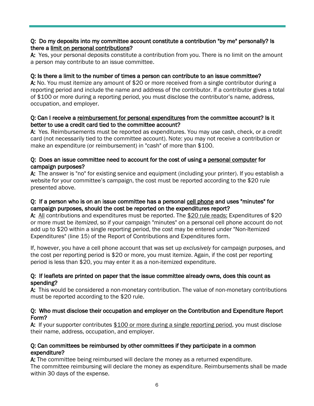### Q: Do my deposits into my committee account constitute a contribution "by me" personally? Is there a limit on personal contributions?

A: Yes, your personal deposits constitute a contribution from you. There is no limit on the amount a person may contribute to an issue committee.

### Q: Is there a limit to the number of times a person can contribute to an issue committee?

A: No. You must itemize any amount of \$20 or more received from a single contributor during a reporting period and include the name and address of the contributor. If a contributor gives a total of \$100 or more during a reporting period, you must disclose the contributor's name, address, occupation, and employer.

#### Q: Can I receive a reimbursement for personal expenditures from the committee account? Is it better to use a credit card tied to the committee account?

A: Yes. Reimbursements must be reported as expenditures. You may use cash, check, or a credit card (not necessarily tied to the committee account). Note: you may not receive a contribution or make an expenditure (or reimbursement) in "cash" of more than \$100.

### Q: Does an issue committee need to account for the cost of using a personal computer for campaign purposes?

A: The answer is "no" for existing service and equipment (including your printer). If you establish a website for your committee's campaign, the cost must be reported according to the \$20 rule presented above.

#### Q: If a person who is on an issue committee has a personal cell phone and uses "minutes" for campaign purposes, should the cost be reported on the expenditures report?

A: All contributions and expenditures must be reported. The \$20 rule reads: Expenditures of \$20 or more must be *itemized*, so if your campaign "minutes" on a personal cell phone account do not add up to \$20 within a single reporting period, the cost may be entered under "Non-Itemized Expenditures" (line 15) of the Report of Contributions and Expenditures form.

If, however, you have a cell phone account that was set up *exclusively* for campaign purposes, and the cost per reporting period is \$20 or more, you must itemize. Again, if the cost per reporting period is less than \$20, you may enter it as a non-itemized expenditure.

#### Q: If leaflets are printed on paper that the issue committee already owns, does this count as spending?

A: This would be considered a non-monetary contribution. The value of non-monetary contributions must be reported according to the \$20 rule.

#### Q: Who must disclose their occupation and employer on the Contribution and Expenditure Report Form?

A: If your supporter contributes \$100 or more during a single reporting period, you must disclose their name, address, occupation, and employer.

#### Q: Can committees be reimbursed by other committees if they participate in a common expenditure?

A: The committee being reimbursed will declare the money as a returned expenditure. The committee reimbursing will declare the money as expenditure. Reimbursements shall be made within 30 days of the expense.